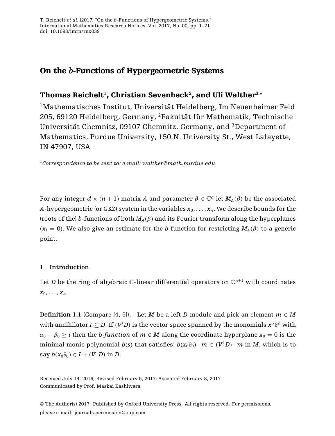# <span id="page-0-0"></span>On the *b*-Functions of Hypergeometric Systems

# Thomas Reichelt**<sup>1</sup>**, Christian Sevenheck**<sup>2</sup>**, and Uli Walther**3,<sup>∗</sup>**

1Mathematisches Institut, Universität Heidelberg, Im Neuenheimer Feld 205, 69120 Heidelberg, Germany, 2Fakultät für Mathematik, Technische Universität Chemnitz, 09107 Chemnitz, Germany, and 3Department of Mathematics, Purdue University, 150 N. University St., West Lafayette, IN 47907, USA

<sup>∗</sup>*Correspondence to be sent to: e-mail: walther@math.purdue.edu*

For any integer  $d \times (n+1)$  matrix *A* and parameter  $\beta \in \mathbb{C}^d$  let  $M_A(\beta)$  be the associated A-hypergeometric (or GKZ) system in the variables  $x_0, \ldots, x_n$ . We describe bounds for the (roots of the) *b*-functions of both  $M_A(\beta)$  and its Fourier transform along the hyperplanes  $(x<sub>i</sub> = 0)$ . We also give an estimate for the *b*-function for restricting  $M<sub>A</sub>(\beta)$  to a generic point.

# **1 Introduction**

Let *D* be the ring of algebraic C-linear differential operators on  $\mathbb{C}^{n+1}$  with coordinates  $X_0, \ldots, X_n$ .

**Definition 1.1** (Compare [\[4,](#page-19-0) [5](#page-19-0)]). Let *M* be a left *D*-module and pick an element  $m \in M$ with annihilator *I* ⊆ *D*. If (*Vi D*) is the vector space spanned by the monomials *x*α∂β with  $\alpha_0 - \beta_0 \ge i$  then the *b-function* of  $m \in M$  along the coordinate hyperplane  $x_0 = 0$  is the minimal monic polynomial *b*(*s*) that satisfies:  $b(x_0\partial_0) \cdot m \in (V^1D) \cdot m$  in *M*, which is to say  $b(x_0∂_0) ∈ I + (V<sup>1</sup>D)$  in *D*.

Received July 14, 2016; Revised February 5, 2017; Accepted February 8, 2017 Communicated by Prof. Maskai Kashiwara

© The Author(s) 2017. Published by Oxford University Press. All rights reserved. For permissions, please e-mail: journals.permission@oup.com.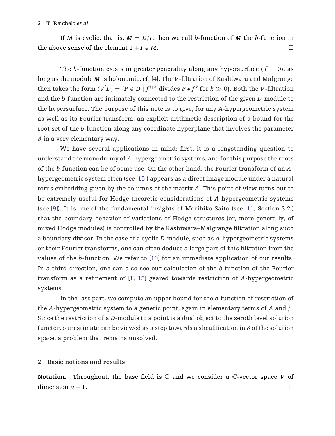#### 2 T. Reichelt *et al.*

If *M* is cyclic, that is,  $M = D/I$ , then we call *b*-function of *M* the *b*-function in the above sense of the element  $1 + I \in M$ .

The *b*-function exists in greater generality along any hypersurface  $(f = 0)$ , as long as the module *M* is holonomic, cf. [\[4](#page-19-0)]. The *V*-filtration of Kashiwara and Malgrange then takes the form  $(V^{i}D) = {P \in D \mid f^{i+k} \text{ divides } P \bullet f^{k} \text{ for } k \gg 0}.$  Both the *V*-filtration and the *b*-function are intimately connected to the restriction of the given *D*-module to the hypersurface. The purpose of this note is to give, for any *A*-hypergeometric system as well as its Fourier transform, an explicit arithmetic description of a bound for the root set of the *b*-function along any coordinate hyperplane that involves the parameter  $\beta$  in a very elementary way.

We have several applications in mind: first, it is a longstanding question to understand the monodromy of *A*-hypergeometric systems, and for this purpose the roots of the *b*-function can be of some use. On the other hand, the Fourier transform of an *A*hypergeometric system often (see [\[15\]](#page-20-0)) appears as a direct image module under a natural torus embedding given by the columns of the matrix *A*. This point of view turns out to be extremely useful for Hodge theoretic considerations of *A*-hypergeometric systems (see [\[9\]](#page-19-0)). It is one of the fundamental insights of Morihiko Saito (see [\[11,](#page-19-0) Section 3.2]) that the boundary behavior of variations of Hodge structures (or, more generally, of mixed Hodge modules) is controlled by the Kashiwara–Malgrange filtration along such a boundary divisor. In the case of a cyclic *D*-module, such as *A*-hypergeometric systems or their Fourier transforms, one can often deduce a large part of this filtration from the values of the *b*-function. We refer to [\[10\]](#page-19-0) for an immediate application of our results. In a third direction, one can also see our calculation of the *b*-function of the Fourier transform as a refinement of [\[1](#page-19-0), [15](#page-20-0)] geared towards restriction of *A*-hypergeometric systems.

In the last part, we compute an upper bound for the *b*-function of restriction of the *A*-hypergeometric system to a generic point, again in elementary terms of *A* and β. Since the restriction of a *D*-module to a point is a dual object to the zeroth level solution functor, our estimate can be viewed as a step towards a sheafification in  $\beta$  of the solution space, a problem that remains unsolved.

# **2 Basic notions and results**

**Notation.** Throughout, the base field is C and we consider a C-vector space *V* of dimension  $n + 1$ .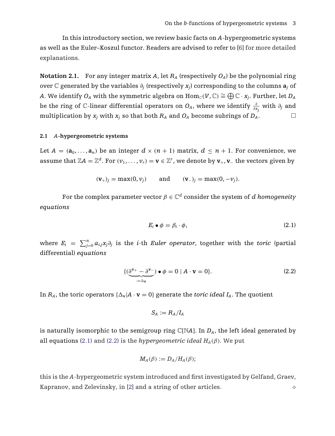In this introductory section, we review basic facts on *A*-hypergeometric systems as well as the Euler–Koszul functor. Readers are advised to refer to [\[6](#page-19-0)] for more detailed explanations.

**Notation 2.1.** For any integer matrix *A*, let  $R_A$  (respectively  $O_A$ ) be the polynomial ring over C generated by the variables ∂*<sup>j</sup>* (respectively *xj*) corresponding to the columns **a***<sup>j</sup>* of *A*. We identify  $O_A$  with the symmetric algebra on  $\text{Hom}_\mathbb{C}(V, \mathbb{C}) \cong \bigoplus \mathbb{C} \cdot x_j$ . Further, let  $D_A$ be the ring of C-linear differential operators on *OA*, where we identify <sup>∂</sup> ∂*xj* with ∂*<sup>j</sup>* and multiplication by  $x_j$  with  $x_j$  so that both  $R_A$  and  $O_A$  become subrings of  $D_A$ .

### **2.1** *A***-hypergeometric systems**

Let  $A = (\mathbf{a}_0, \dots, \mathbf{a}_n)$  be an integer  $d \times (n+1)$  matrix,  $d \leq n+1$ . For convenience, we assume that  $\mathbb{Z}A = \mathbb{Z}^d$ . For  $(v_1, \ldots, v_r) = \mathbf{v} \in \mathbb{Z}^r$ , we denote by  $\mathbf{v}_+$ ,  $\mathbf{v}_-$  the vectors given by

$$
(v_{+})_j = max(0, v_j)
$$
 and  $(v_{-})_j = max(0, -v_j)$ .

For the complex parameter vector  $\beta \in \mathbb{C}^d$  consider the system of *d* homogeneity *equations*

$$
E_i \bullet \phi = \beta_i \cdot \phi,\tag{2.1}
$$

where  $E_i = \sum_{j=0}^n a_{ij} x_j \partial_j$  is the *i*-th *Euler operator*, together with the *toric* (partial differential) *equations*

$$
\{(\underbrace{\partial^{\mathbf{v}_+}-\partial^{\mathbf{v}_-}}) \bullet \phi = 0 \mid A \cdot \mathbf{v} = 0\}.
$$
 (2.2)

In  $R_A$ , the toric operators  $\{\Delta_v | A \cdot v = 0\}$  generate the *toric ideal I<sub>A</sub>*. The quotient

$$
S_A:=R_A/I_A
$$

is naturally isomorphic to the semigroup ring  $\mathbb{C}[\mathbb{N}A]$ . In  $D_A$ , the left ideal generated by all equations (2.1) and (2.2) is the *hypergeometric ideal*  $H_A(\beta)$ . We put

$$
M_A(\beta) := D_A/H_A(\beta);
$$

this is the *A*-hypergeometric system introduced and first investigated by Gelfand, Graev, Kapranov, and Zelevinsky, in [\[2](#page-19-0)] and a string of other articles.  $\Diamond$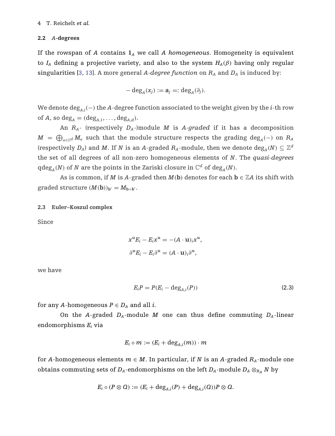#### <span id="page-3-0"></span>**2.2** *A***-degrees**

If the rowspan of *A* contains  $\mathbf{1}_A$  we call *A homogeneous*. Homogeneity is equivalent to  $I_A$  defining a projective variety, and also to the system  $H_A(\beta)$  having only regular singularities [\[3](#page-19-0), [13\]](#page-20-0). A more general  $A$ -degree function on  $R_A$  and  $D_A$  is induced by:

$$
-\deg_A(x_j) := \mathbf{a}_j =: \deg_A(\partial_j).
$$

We denote deg*<sup>A</sup>*,*<sup>i</sup>*(−) the *A*-degree function associated to the weight given by the *i*-th row of *A*, so deg<sub>*A*</sub> = (deg<sub>*A*</sub>,,..., deg<sub>*A*</sub> $_d$ ).

An  $R_A$ - (respectively  $D_A$ -)module *M* is *A-graded* if it has a decomposition  $M$  =  $\bigoplus_{\alpha \in \mathbb{Z}^d} M_\alpha$  such that the module structure respects the grading  $\deg_A(-)$  on  $R_A$ (respectively  $D_A$ ) and *M*. If *N* is an *A*-graded  $R_A$ -module, then we denote  $\deg_A(N) \subseteq \mathbb{Z}^d$ the set of all degrees of all non-zero homogeneous elements of *N*. The *quasi-degrees*  $q \deg_A(N)$  of *N* are the points in the Zariski closure in  $\mathbb{C}^d$  of deg<sub>A</sub>(*N*).

As is common, if *M* is *A*-graded then  $M(b)$  denotes for each  $b \in \mathbb{Z}$ *A* its shift with graded structure  $(M(b))_{b'} = M_{b+b'}.$ 

#### **2.3 Euler–Koszul complex**

Since

$$
x^{u}E_{i}-E_{i}x^{u}=-(A\cdot u)_{i}x^{u},
$$
  

$$
\partial^{u}E_{i}-E_{i}\partial^{u}=(A\cdot u)_{i}\partial^{u},
$$

we have

$$
E_i P = P(E_i - \deg_{A,i}(P))
$$
\n(2.3)

for any *A*-homogeneous  $P \in D_A$  and all *i*.

On the *A*-graded  $D_A$ -module *M* one can thus define commuting  $D_A$ -linear endomorphisms *Ei* via

$$
E_i \circ m := (E_i + \deg_{A,i}(m)) \cdot m
$$

for *A*-homogeneous elements  $m \in M$ . In particular, if *N* is an *A*-graded  $R_A$ -module one obtains commuting sets of  $D_A$ -endomorphisms on the left  $D_A$ -module  $D_A \otimes_{R_A} N$  by

$$
E_i \circ (P \otimes Q) := (E_i + \deg_{A,i}(P) + \deg_{A,i}(Q))P \otimes Q.
$$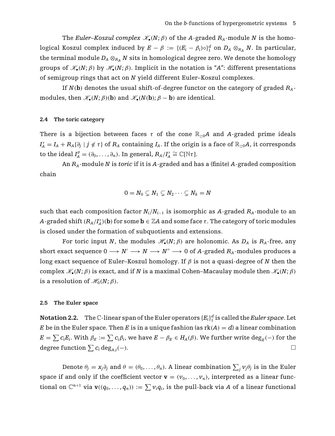<span id="page-4-0"></span>The *Euler–Koszul complex*  $\mathcal{K}_{\bullet}(N; \beta)$  of the *A*-graded  $R_A$ -module *N* is the homological Koszul complex induced by  $E - \beta := \{(E_i - \beta_i) \circ \}_{1}^d$  on  $D_A \otimes_{R_A} N$ . In particular, the terminal module  $D_A \otimes_{R_A} N$  sits in homological degree zero. We denote the homology groups of  $\mathscr{K}_{\bullet}(N;\beta)$  by  $\mathscr{H}_{\bullet}(N;\beta)$ . Implicit in the notation is "*A*": different presentations of semigroup rings that act on *N* yield different Euler–Koszul complexes.

If  $N(\bf{b})$  denotes the usual shift-of-degree functor on the category of graded  $R_{\rm A}$ modules, then  $\mathcal{K}_{\bullet}(N; \beta)(\mathbf{b})$  and  $\mathcal{K}_{\bullet}(N(\mathbf{b}); \beta - \mathbf{b})$  are identical.

### **2.4 The toric category**

There is a bijection between faces  $\tau$  of the cone  $\mathbb{R}_{>0}$  and A-graded prime ideals  $I_A^{\tau} = I_A + R_A\{\partial_j \mid j \not\in \tau\}$  of  $R_A$  containing  $I_A$ . If the origin is a face of  $\mathbb{R}_{\geq 0}A$ , it corresponds to the ideal  $I_A^{\emptyset} = (\partial_0, \ldots, \partial_n)$ . In general,  $R_A/I_A^{\tau} \cong \mathbb{C}[\mathbb{N}\tau]$ .

An *RA*-module *N* is *toric* if it is *A*-graded and has a (finite) *A*-graded composition chain

$$
0=N_0\subsetneq N_1\subsetneq N_2\cdots\subsetneq N_k=N
$$

such that each composition factor *Ni*/*Ni*<sup>−</sup><sup>1</sup> is isomorphic as *A*-graded *RA*-module to an *A*-graded shift  $(R_A/I_A^{\tau})(\mathbf{b})$  for some  $\mathbf{b}\in\mathbb{Z} A$  and some face  $\tau$  . The category of toric modules is closed under the formation of subquotients and extensions.

For toric input *N*, the modules  $\mathcal{H}_\bullet(N;\beta)$  are holonomic. As  $D_A$  is  $R_A$ -free, any short exact sequence  $0 \longrightarrow N' \longrightarrow N \longrightarrow N'' \longrightarrow 0$  of A-graded  $R_A$ -modules produces a long exact sequence of Euler–Koszul homology. If β is not a quasi-degree of *N* then the complex  $\mathscr{K}_{\bullet}(N;\beta)$  is exact, and if *N* is a maximal Cohen–Macaulay module then  $\mathscr{K}_{\bullet}(N;\beta)$ is a resolution of  $\mathcal{H}_0(N;\beta)$ .

### **2.5 The Euler space**

**Notation 2.2.** The  $\mathbb C$ -linear span of the Euler operators  $\{E_i\}_1^d$  is called the *Euler space*. Let *E* be in the Euler space. Then *E* is in a unique fashion (as  $rk(A) = d$ ) a linear combination  $E = \sum c_i E_i$ . With  $\beta_E := \sum c_i \beta_i$ , we have  $E - \beta_E \in H_A(\beta)$ . We further write  $\deg_E(-)$  for the degree function  $\sum c_i \deg_{A,i}(-)$ .

Denote  $\theta_j = x_j \partial_j$  and  $\theta = (\theta_0, \dots, \theta_n)$ . A linear combination  $\sum_j v_j \theta_j$  is in the Euler space if and only if the coefficient vector  $\mathbf{v} = (v_0, \ldots, v_n)$ , interpreted as a linear functional on  $\mathbb{C}^{n+1}$  via  $\mathbf{v}((q_0,\ldots,q_n)) := \sum v_i q_i$ , is the pull-back via *A* of a linear functional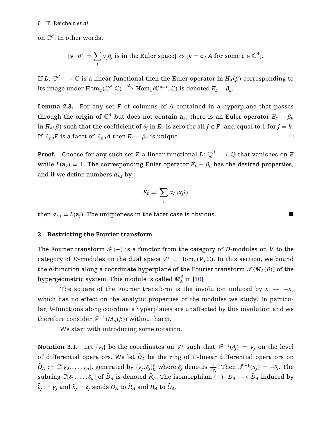#### <span id="page-5-0"></span>6 T. Reichelt *et al.*

on C*<sup>d</sup>*. In other words,

$$
[\mathbf{v} \cdot \theta^T = \sum_j v_j \theta_j \text{ is in the Euler space}] \Leftrightarrow [\mathbf{v} = \mathbf{c} \cdot A \text{ for some } \mathbf{c} \in \mathbb{C}^d].
$$

If *L*:  $\mathbb{C}^d \longrightarrow \mathbb{C}$  is a linear functional then the Euler operator in  $H_A(\beta)$  corresponding to its image under  $\text{Hom}_{\mathbb{C}}(\mathbb{C}^d, \mathbb{C}) \stackrel{A}{\longrightarrow} \text{Hom}_{\mathbb{C}}(\mathbb{C}^{n+1}, \mathbb{C})$  is denoted  $E_L - \beta_L$ .

**Lemma 2.3.** For any set *F* of columns of *A* contained in a hyperplane that passes through the origin of  $\mathbb{C}^d$  but does not contain  $\mathbf{a}_k$ , there is an Euler operator  $E_F - \beta_F$ in *H<sub>A</sub>*( $\beta$ ) such that the coefficient of  $\theta_j$  in  $E_F$  is zero for all  $j \in F$ , and equal to 1 for  $j = k$ . If  $\mathbb{R}_{\geq 0}F$  is a facet of  $\mathbb{R}_{\geq 0}A$  then  $E_F - \beta_F$  is unique.  $\Box$ 

**Proof.** Choose for any such set *F* a linear functional  $L: \mathbb{Q}^d \longrightarrow \mathbb{Q}$  that vanishes on *F* while  $L(\mathbf{a}_k) = 1$ . The corresponding Euler operator  $E_L - \beta_L$  has the desired properties, and if we define numbers  $a_{L,i}$  by

$$
E_L=:\sum_j a_{L,j} x_j\partial_j
$$

then  $a_{L,j} = L(a_j)$ . The uniqueness in the facet case is obvious.

#### **3 Restricting the Fourier transform**

The Fourier transform  $\mathcal{F}(-)$  is a functor from the category of *D*-modules on *V* to the category of *D*-modules on the dual space  $V^* = \text{Hom}_{\mathbb{C}}(V, \mathbb{C})$ . In this section, we bound the *b*-function along a coordinate hyperplane of the Fourier transform  $\mathcal{F}(M_A(\beta))$  of the hypergeometric system. This module is called  $\check{M}^{\beta}_A$  in [\[10](#page-19-0)].

The square of the Fourier transform is the involution induced by  $x \mapsto -x$ , which has no effect on the analytic properties of the modules we study. In particular, *b*-functions along coordinate hyperplanes are unaffected by this involution and we therefore consider  $\mathscr{F}^{-1}(M_A(\beta))$  without harm.

We start with introducing some notation.

**Notation 3.1.** Let  $\{y_j\}$  be the coordinates on  $V^*$  such that  $\mathscr{F}^{-1}(\partial_j) = y_j$  on the level of differential operators. We let  $\tilde{D}_A$  be the ring of  $\mathbb{C}$ -linear differential operators on  $\tilde{O}_A := \mathbb{C}[y_0, \ldots, y_n]$ , generated by  $\{y_j, \delta_j\}_0^n$  where  $\delta_j$  denotes  $\frac{\partial}{\partial y_j}$ . Then  $\mathscr{F}^{-1}(x_j) = -\delta_j$ . The subring  $\mathbb{C}[\delta_1,\ldots,\delta_n]$  of  $\tilde{D}_A$  is denoted  $\tilde{R}_A$ . The isomorphism  $\tilde{(-)}: D_A \longrightarrow \tilde{D}_A$  induced by  $\tilde{\partial}_j := y_j$  and  $\tilde{x}_j = \delta_j$  sends  $O_A$  to  $\tilde{R}_A$  and  $R_A$  to  $\tilde{O}_A$ .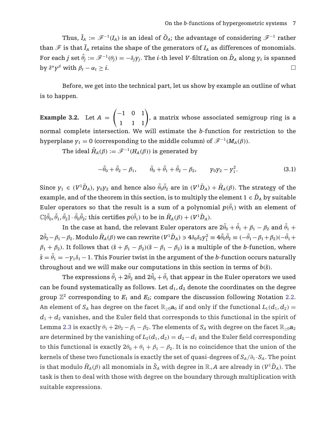Thus,  $\tilde{I}_A := \mathscr{F}^{-1}(I_A)$  is an ideal of  $\tilde{O}_A$ ; the advantage of considering  $\mathscr{F}^{-1}$  rather than  $\mathscr F$  is that  $\tilde I_A$  retains the shape of the generators of  $I_A$  as differences of monomials. For each  $j$  set  $\tilde{\theta}_j:=\mathscr{F}^{-1}(\theta_j)=-\delta_jy_j.$  The  $i$ -th level  $V$ -filtration on  $\tilde{D}_A$  along  $y_t$  is spanned by  $\delta^{\alpha} y^{\beta}$  with  $\beta_t - \alpha_t \geq i$ .

Before, we get into the technical part, let us show by example an outline of what is to happen.

**Example 3.2.** Let  $A =$  $\begin{pmatrix} -1 & 0 & 1 \\ 1 & 1 & 1 \end{pmatrix}$ , a matrix whose associated semigroup ring is a normal complete intersection. We will estimate the *b*-function for restriction to the hyperplane  $y_1 = 0$  (corresponding to the middle column) of  $\mathscr{F}^{-1}(M_A(\beta))$ .

The ideal  $\widetilde{H}_A(\beta) := \mathscr{F}^{-1}(H_A(\beta))$  is generated by

$$
-\tilde{\theta}_0 + \tilde{\theta}_2 - \beta_1, \qquad \tilde{\theta}_0 + \tilde{\theta}_1 + \tilde{\theta}_2 - \beta_2, \qquad y_0 y_2 - y_1^2. \tag{3.1}
$$

Since  $y_1\in (V^1\tilde D_A)$ ,  $y_0y_2$  and hence also  $\tilde \theta_0\tilde \theta_2$  are in  $(V^1\tilde D_A)+\tilde H_A(\beta).$  The strategy of the example, and of the theorem in this section, is to multiply the element  $1 \in \tilde{D}_A$  by suitable Euler operators so that the result is a sum of a polynomial  $p(\tilde{\theta}_1)$  with an element of  $\mathbb{C}[\tilde{\theta}_0, \tilde{\theta}_1, \tilde{\theta}_2]: \tilde{\theta}_0 \tilde{\theta}_2$ ; this certifies  $p(\tilde{\theta}_1)$  to be in  $\tilde{H}_A(\beta) + (V^1 \tilde{D}_A).$ 

In the case at hand, the relevant Euler operators are  $2 \tilde{\theta}_0 + \tilde{\theta}_1 + \beta_1 - \beta_2$  and  $\tilde{\theta}_1 +$  $2\tilde{\theta}_2 - \beta_1 - \beta_2$ . Modulo  $\tilde{H}_A(\beta)$  we can rewrite  $(V^1\tilde{D}_A) \ni 4\delta_0\delta_2Y_1^2 \equiv 4\tilde{\theta}_0\tilde{\theta}_2 \equiv (-\tilde{\theta}_1-\beta_1+\beta_2)(-\tilde{\theta}_1+\beta_2)$  $\beta_1 + \beta_2$ ). It follows that  $(\tilde{s} + \beta_1 - \beta_2)(\tilde{s} - \beta_1 - \beta_2)$  is a multiple of the *b*-function, where  $\tilde{s}=\tilde{\theta}_1=-y_1\delta_1-1.$  This Fourier twist in the argument of the  $b$ -function occurs naturally throughout and we will make our computations in this section in terms of  $b(\tilde{s})$ .

The expressions  $\tilde{\theta}_1+2\tilde{\theta}_2$  and  $2\tilde{\theta}_0+\tilde{\theta}_1$  that appear in the Euler operators we used can be found systematically as follows. Let  $d_1, d_2$  denote the coordinates on the degree group  $\mathbb{Z}^2$  corresponding to  $E_1$  and  $E_2$ ; compare the discussion following Notation [2.2.](#page-4-0) An element of  $S_A$  has degree on the facet  $\mathbb{R}_{\geq 0}$  all and only if the functional  $L_1(d_1, d_2)$  =  $d_1 + d_2$  vanishes, and the Euler field that corresponds to this functional in the spirit of Lemma [2.3](#page-5-0) is exactly  $\theta_1 + 2\theta_2 - \beta_1 - \beta_2$ . The elements of  $S_A$  with degree on the facet  $\mathbb{R}_{\geq 0}a_2$ are determined by the vanishing of  $L_2(d_1, d_2) = d_2 - d_1$  and the Euler field corresponding to this functional is exactly  $2\theta_0 + \theta_1 + \beta_1 - \beta_2$ . It is no coincidence that the union of the kernels of these two functionals is exactly the set of quasi-degrees of  $S_A/\partial_1 \cdot S_A$ . The point is that modulo  $\tilde{H}_{A}(\beta)$  all monomials in  $\tilde{S}_{A}$  with degree in  $\mathbb{R}_{+}A$  are already in  $(V^{1}\tilde{D}_{A})$ . The task is then to deal with those with degree on the boundary through multiplication with suitable expressions.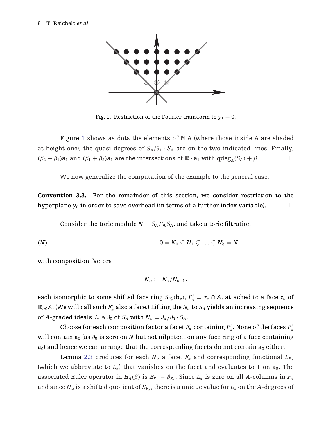

**Fig. 1.** Restriction of the Fourier transform to  $y_1 = 0$ .

Figure 1 shows as dots the elements of  $N A$  (where those inside A are shaded at height one); the quasi-degrees of  $S_A/\partial_1 \cdot S_A$  are on the two indicated lines. Finally,  $(\beta_2 - \beta_1)\mathbf{a}_1$  and  $(\beta_1 + \beta_2)\mathbf{a}_1$  are the intersections of  $\mathbb{R} \cdot \mathbf{a}_1$  with  $\beta_1 \deg_A(S_A) + \beta$ .  $\Box$ 

We now generalize the computation of the example to the general case.

**Convention 3.3.** For the remainder of this section, we consider restriction to the hyperplane  $y_0$  in order to save overhead (in terms of a further index variable).  $\Box$ 

Consider the toric module  $N = S_A/\partial_0 S_A$ , and take a toric filtration

$$
(N) \qquad \qquad 0 = N_0 \subsetneq N_1 \subsetneq \ldots \subsetneq N_k = N
$$

with composition factors

$$
\overline{N}_{\alpha}:=N_{\alpha}/N_{\alpha-1}\text{,}
$$

each isomorphic to some shifted face ring  $S_{F'_\alpha}(\mathbf{b}_\alpha)$ ,  $F'_\alpha = \tau_\alpha \cap A$ , attached to a face  $\tau_\alpha$  of  $\mathbb{R}_{\geq 0}$ A. (We will call such  $F'_\alpha$  also a face.) Lifting the  $N_\alpha$  to  $S_A$  yields an increasing sequence of *A*-graded ideals  $J_\alpha \ni \partial_0$  of  $S_A$  with  $N_\alpha = J_\alpha/\partial_0 \cdot S_A$ .

Choose for each composition factor a facet  $F_\alpha$  containing  $F_\alpha'$ . None of the faces  $F_\alpha'$ will contain  $\mathbf{a}_0$  (as  $\partial_0$  is zero on *N* but not nilpotent on any face ring of a face containing  $a_0$ ) and hence we can arrange that the corresponding facets do not contain  $a_0$  either.

Lemma [2.3](#page-5-0) produces for each  $\overline{N}_{\alpha}$  a facet  $F_{\alpha}$  and corresponding functional  $L_{F_{\alpha}}$ (which we abbreviate to  $L_{\alpha}$ ) that vanishes on the facet and evaluates to 1 on  $a_0$ . The associated Euler operator in  $H_A(\beta)$  is  $E_{F_\alpha} - \beta_{F_\alpha}$ . Since  $L_\alpha$  is zero on all *A*-columns in  $F_\alpha$ and since  $\overline{N}_{\alpha}$  is a shifted quotient of  $S_{F_{\alpha}}$ , there is a unique value for  $L_{\alpha}$  on the A-degrees of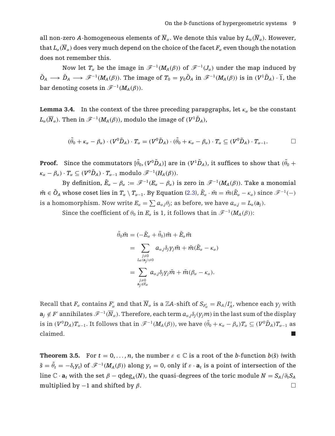<span id="page-8-0"></span>all non-zero *A*-homogeneous elements of  $\overline{N}_{\alpha}$ . We denote this value by  $L_{\alpha}(\overline{N}_{\alpha})$ . However, that  $L_{\alpha}(\overline{N}_{\alpha})$  does very much depend on the choice of the facet  $F_{\alpha}$  even though the notation does not remember this.

Now let  $T_\alpha$  be the image in  $\mathscr{F}^{-1}(M_A(\beta))$  of  $\mathscr{F}^{-1}(J_\alpha)$  under the map induced by  $\tilde{O}_A \longrightarrow \tilde{D}_A \longrightarrow \mathscr{F}^{-1}(M_A(\beta)).$  The image of  $T_0 = y_0 \tilde{O}_A$  in  $\mathscr{F}^{-1}(M_A(\beta))$  is in  $(V^1 \tilde{D}_A) \cdot \overline{1}$ , the bar denoting cosets in  $\mathscr{F}^{-1}(M_A(\beta)).$ 

**Lemma 3.4.** In the context of the three preceding parapgraphs, let  $\kappa_{\alpha}$  be the constant  $L_{\alpha}(\overline{N}_{\alpha})$ . Then in  $\mathscr{F}^{-1}(M_{A}(\beta))$ , modulo the image of  $(V^{1}\tilde{D}_{A})$ ,

$$
(\tilde{\theta}_0 + \kappa_\alpha - \beta_\alpha) \cdot (V^0 \tilde{D}_A) \cdot T_\alpha = (V^0 \tilde{D}_A) \cdot (\tilde{\theta}_0 + \kappa_\alpha - \beta_\alpha) \cdot T_\alpha \subseteq (V^0 \tilde{D}_A) \cdot T_{\alpha-1}.
$$

**Proof.** Since the commutators  $[\tilde{\theta}_0,(V^0\tilde{D}_A)]$  are in  $(V^1\tilde{D}_A)$ , it suffices to show that  $(\tilde{\theta}_0+$  $\kappa_{\alpha} - \beta_{\alpha}$ ) ·  $T_{\alpha} \subset (V^0 \tilde{D}_A) \cdot T_{\alpha-1}$  modulo  $\mathscr{F}^{-1}(H_A(\beta)).$ 

By definition,  $\tilde{E}_{\alpha} - \beta_{\alpha} := \mathscr{F}^{-1}(E_{\alpha} - \beta_{\alpha})$  is zero in  $\mathscr{F}^{-1}(M_A(\beta))$ . Take a monomial  $\tilde{m} \in \tilde{O}_A$  whose coset lies in  $T_\alpha \setminus T_{\alpha-1}$ . By Equation [\(2.3\)](#page-3-0),  $\tilde{E}_\alpha \cdot \tilde{m} = \tilde{m}(\tilde{E}_\alpha - \kappa_\alpha)$  since  $\mathscr{F}^{-1}(-)$ is a homomorphism. Now write  $E_\alpha = \sum a_{\alpha,i} \theta_i$ ; as before, we have  $a_{\alpha,i} = L_\alpha(\mathbf{a}_i)$ .

Since the coefficient of  $\theta_0$  in  $E_\alpha$  is 1, it follows that in  $\mathscr{F}^{-1}(M_A(\beta))$ :

$$
\begin{aligned} \tilde{\theta}_0 \tilde{\boldsymbol{m}} &= (-\tilde{E}_{\alpha} + \tilde{\theta}_0) \tilde{\boldsymbol{m}} + \tilde{E}_{\alpha} \tilde{\boldsymbol{m}} \\ &= \sum_{\stackrel{\scriptstyle j \neq 0}{L_{\alpha(a_j) \neq 0}}} a_{\alpha j} \delta_j y_j \tilde{\boldsymbol{m}} + \tilde{\boldsymbol{m}} (\tilde{E}_{\alpha} - \kappa_{\alpha}) \\ &= \sum_{\stackrel{\scriptstyle j \neq 0}{a_j \neq F_{\alpha}}} a_{\alpha j} \delta_j y_j \tilde{\boldsymbol{m}} + \tilde{\boldsymbol{m}} (\beta_{\alpha} - \kappa_{\alpha}). \end{aligned}
$$

 ${\rm Recall~that~}F_\alpha~$  contains  $F_\alpha'$  and that  $\overline N_\alpha$  is a ZA-shift of  $S_{F_\alpha'}=R_A/I_A^\tau$ , whence each  $y_j$  with  ${\bf a}_j\not\in F'$  annihilates  $\mathscr F^{-1}(\overline N_a)$ . Therefore, each term  $a_{\alpha,j}\delta_j(y_jm)$  in the last sum of the display is in  $(V^0D_A)T_{\alpha-1}.$  It follows that in  $\mathscr{F}^{-1}(M_A(\beta)),$  we have  $(\tilde{\theta}_0 + \kappa_\alpha - \beta_\alpha)T_\alpha \subseteq (V^0\tilde{D}_A)T_{\alpha-1}$  as claimed.

**Theorem 3.5.** For  $t = 0, \ldots, n$ , the number  $\varepsilon \in \mathbb{C}$  is a root of the *b*-function  $b(\tilde{s})$  (with  $\tilde{s}=\tilde{\theta}_t=-\delta_t Y_t)$  of  $\mathscr{F}^{-1}(M_A(\beta))$  along  $y_t=0$ , only if  $\varepsilon\cdot\mathbf{a}_t$  is a point of intersection of the line  $\mathbb{C} \cdot \mathbf{a}_t$  with the set  $\beta - \text{qdeg}_A(N)$ , the quasi-degrees of the toric module  $N = S_A/\partial_t S_A$ multiplied by  $-1$  and shifted by  $\beta$ .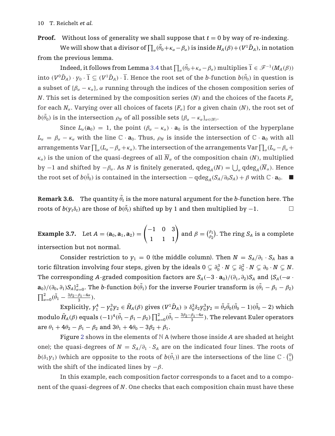**Proof.** Without loss of generality we shall suppose that  $t = 0$  by way of re-indexing.

We will show that a divisor of  $\prod_\alpha (\tilde\theta_0+\kappa_\alpha-\beta_\alpha)$  is inside  $H_A(\beta)+(V^1\tilde D_A)$ , in notation from the previous lemma.

Indeed, it follows from Lemma [3.4](#page-8-0) that  $\prod_\alpha(\tilde\theta_0+\kappa_\alpha-\beta_\alpha)$  multiplies  $\overline 1\in\mathscr F^{-1}(M_A(\beta))$ into  $(V^0 \tilde{D}_A) \cdot y_0 \cdot \overline{1} \subseteq (V^1 \tilde{D}_A) \cdot \overline{1}$ . Hence the root set of the *b*-function  $b(\tilde{\theta}_0)$  in question is a subset of  $\{\beta_{\alpha} - \kappa_{\alpha}\}\$ ,  $\alpha$  running through the indices of the chosen composition series of *N*. This set is determined by the composition series (*N*) and the choices of the facets  $F_\alpha$ for each  $N_\alpha$ . Varying over all choices of facets  ${F_\alpha}$  for a given chain (*N*), the root set of  $b(\tilde{\theta}_0)$  is in the intersection  $\rho_N$  of all possible sets  $\{\beta_{\alpha}-\kappa_{\alpha}\}_{\alpha\in(N)}.$ 

Since  $L_{\alpha}(\mathbf{a}_0) = 1$ , the point  $(\beta_{\alpha} - \kappa_{\alpha}) \cdot \mathbf{a}_0$  is the intersection of the hyperplane  $L_{\alpha} = \beta_{\alpha} - \kappa_{\alpha}$  with the line  $\mathbb{C} \cdot \mathbf{a}_0$ . Thus,  $\rho_N$  is inside the intersection of  $\mathbb{C} \cdot \mathbf{a}_0$  with all arrangements Var  $\prod_{\alpha}(L_{\alpha}-\beta_{\alpha}+\kappa_{\alpha})$ . The intersection of the arrangements Var  $\prod_{\alpha}(L_{\alpha}-\beta_{\alpha}+\beta_{\alpha}+\beta_{\alpha})$  $\kappa_{\alpha}$ ) is the union of the quasi-degrees of all  $\overline{N}_{\alpha}$  of the composition chain (*N*), multiplied by  $-1$  and shifted by  $-\beta_\alpha$ . As  $N$  is finitely generated,  $\mathrm{qdeg}_A(N)=\bigcup_\alpha\mathrm{qdeg}_A(\overline N_\alpha).$  Hence the root set of  $b(\tilde{\theta}_0)$  is contained in the intersection  $-\text{qdeg}_A(S_A/\partial_0S_A) + \beta$  with  $\mathbb{C} \cdot \mathbf{a}_0$ .

 ${\bf Remark~3.6.}$  The quantity  $\tilde{\theta}_t$  is the more natural argument for the  $b$ -function here. The roots of  $b(y_t \delta_t)$  are those of  $b(\tilde{\theta}_t)$  shifted up by 1 and then multiplied by  $-1$ .  $\hfill \Box$  $\Box$ 

**Example 3.7.** Let  $A = (a_0, a_1, a_2) =$  $\begin{pmatrix} -1 & 0 & 3 \\ 1 & 1 & 1 \end{pmatrix}$  and  $\beta = \binom{\beta_1}{\beta_2}$ . The ring  $S_A$  is a complete intersection but not normal.

Consider restriction to  $y_1 = 0$  (the middle column). Then  $N = S_A/\partial_1 \cdot S_A$  has a toric filtration involving four steps, given by the ideals  $0\subsetneq \partial_0^3\cdot N\subsetneq \partial_0^2\cdot N\subsetneq \partial_0\cdot N\subsetneq N$ . The corresponding *A*-graded composition factors are  $S_A(-3 \cdot a_0)/(\partial_1, \partial_2)S_A$  and  $\{S_A(-\alpha \cdot a_0)\}$  ${\bf a}_0)/(\partial_0,\partial_1) S_A\}_{\alpha=0}^2.$  The  $b$ -function  $b(\tilde\theta_1)$  for the inverse Fourier transform is  $(\tilde\theta_1-\beta_1-\beta_2)$  $\prod_{\alpha=0}^2(\tilde{\theta}_1-\frac{3\beta_2-\beta_1-4\alpha}{3}).$ 

Explicitly,  $y_1^4 - y_0^3 y_2 \in \tilde{H}_A(\beta)$  gives  $(V^1 \tilde{D}_A) \ni \delta_0^3 \delta_2 y_0^3 y_2 = \tilde{\theta}_2 \tilde{\theta}_0 (\tilde{\theta}_0 - 1)(\tilde{\theta}_0 - 2)$  which modulo  $\tilde{H}_A(\beta)$  equals  $(-1)^4(\tilde{\theta}_1-\beta_1-\beta_2)\prod_{\alpha=0}^2(\tilde{\theta}_1-\frac{3\beta_2-\beta_1-4\alpha}{3}).$  The relevant Euler operators are  $\theta_1 + 4\theta_2 - \beta_1 - \beta_2$  and  $3\theta_1 + 4\theta_0 - 3\beta_2 + \beta_1$ .

Figure [2](#page-10-0) shows in the elements of N A (where those inside *A* are shaded at height one); the quasi-degrees of  $N = S_A/\partial_1 \cdot S_A$  are on the indicated four lines. The roots of  $b(\delta_1 y_1)$  (which are opposite to the roots of  $b(\tilde{\theta}_1)$ ) are the intersections of the line  $\mathbb{C}\cdot\binom{0}{1}$ with the shift of the indicated lines by  $-\beta$ .

In this example, each composition factor corresponds to a facet and to a component of the quasi-degrees of *N*. One checks that each composition chain must have these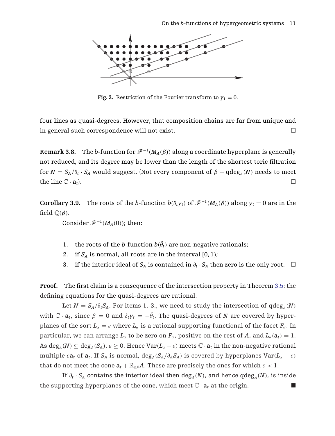<span id="page-10-0"></span>

**Fig. 2.** Restriction of the Fourier transform to  $y_1 = 0$ .

four lines as quasi-degrees. However, that composition chains are far from unique and in general such correspondence will not exist.  $\Box$ 

**Remark 3.8.** The *b*-function for  $\mathcal{F}^{-1}(M_A(\beta))$  along a coordinate hyperplane is generally not reduced, and its degree may be lower than the length of the shortest toric filtration for  $N = S_A/\partial_t \cdot S_A$  would suggest. (Not every component of  $\beta - \text{qdeg}_A(N)$  needs to meet the line  $\mathbb{C} \cdot \mathbf{a}$ <sup>t</sup>).

**Corollary 3.9.** The roots of the *b*-function  $b(\delta_t y_t)$  of  $\mathscr{F}^{-1}(M_A(\beta))$  along  $y_t = 0$  are in the field  $\mathbb{Q}(\beta)$ .

Consider  $\mathscr{F}^{-1}(M_A(0))$ ; then:

- 1. the roots of the *b*-function  $b(\tilde{\theta}_t)$  are non-negative rationals;
- 2. if  $S_A$  is normal, all roots are in the interval  $[0, 1)$ ;
- 3. if the interior ideal of  $S_A$  is contained in  $\partial_t \cdot S_A$  then zero is the only root.  $□$

**Proof.** The first claim is a consequence of the intersection property in Theorem [3.5:](#page-8-0) the defining equations for the quasi-degrees are rational.

Let  $N = S_A/\partial_t S_A$ . For items 1.-3., we need to study the intersection of  $\deg_A(N)$ with  $\mathbb{C} \cdot \mathbf{a}_t$ , since  $\beta = 0$  and  $\delta_t y_t = -\tilde{\theta}_t$ . The quasi-degrees of  $N$  are covered by hyperplanes of the sort  $L_{\alpha} = \varepsilon$  where  $L_{\alpha}$  is a rational supporting functional of the facet  $F_{\alpha}$ . In particular, we can arrange  $L_{\alpha}$  to be zero on  $F_{\alpha}$ , positive on the rest of *A*, and  $L_{\alpha}(\mathbf{a}_t) = 1$ . As deg<sub>A</sub>( $N$ )  $\subseteq$  deg<sub>A</sub>( $S_A$ ),  $\varepsilon \ge 0$ . Hence Var( $L_\alpha - \varepsilon$ ) meets  $\mathbb{C} \cdot \mathbf{a}_t$  in the non-negative rational multiple  $\varepsilon a_t$  of  $a_t$ . If  $S_A$  is normal,  $\deg_A(S_A/\partial_A S_A)$  is covered by hyperplanes  $\text{Var}(L_\alpha - \varepsilon)$ that do not meet the cone  $a_t + \mathbb{R}_{\geq 0}A$ . These are precisely the ones for which  $\varepsilon < 1$ .

If  $\partial_t \cdot S_A$  contains the interior ideal then  $\deg_A(N)$ , and hence  $\deg_A(N)$ , is inside the supporting hyperplanes of the cone, which meet  $\mathbb{C} \cdot \mathbf{a}_t$  at the origin.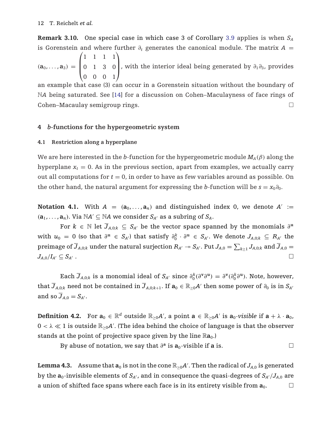<span id="page-11-0"></span>**Remark 3.10.** One special case in which case 3 of Corollary [3.9](#page-10-0) applies is when *SA* is Gorenstein and where further  $\partial_t$  generates the canonical module. The matrix  $A =$  $(**a**<sub>0</sub>, ..., **a**<sub>3</sub>) =$  $\sqrt{2}$  $\parallel$ 1111 0130 0001 ⎞  $\frac{1}{2}$ , with the interior ideal being generated by  $\partial_1\partial_3$ , provides

an example that case (3) can occur in a Gorenstein situation without the boundary of N*A* being saturated. See [\[14](#page-20-0)] for a discussion on Cohen–Maculayness of face rings of Cohen–Macaulay semigroup rings. □

## **4** *b***-functions for the hypergeometric system**

### **4.1 Restriction along a hyperplane**

We are here interested in the *b*-function for the hypergeometric module  $M_A(\beta)$  along the hyperplane  $x_t = 0$ . As in the previous section, apart from examples, we actually carry out all computations for  $t = 0$ , in order to have as few variables around as possible. On the other hand, the natural argument for expressing the *b*-function will be  $s = x_0 \partial_0$ .

**Notation 4.1.** With  $A = (\mathbf{a}_0, \dots, \mathbf{a}_n)$  and distinguished index 0, we denote  $A' :=$  $(a_1, \ldots, a_n)$ . Via  $\mathbb{N}A' \subseteq \mathbb{N}A$  we consider  $S_{A'}$  as a subring of  $S_A$ .

For  $k$  ∈  $\mathbb N$  let  $\overline{J}_{A,0;k}$   $\subseteq$   $S_{A'}$  be the vector space spanned by the monomials  $\partial^{\bf u}$ with  $u_0 = 0$  (so that  $\partial^{\mathbf{u}} \in S_{A'}$ ) that satisfy  $\partial_0^k \cdot \partial^{\mathbf{u}} \in S_{A'}$ . We denote  $J_{A,0;k} \subseteq R_{A'}$  the  $\text{preimage of }\overline{J}_{A,0;k}$  under the natural surjection  $R_{A'}\twoheadrightarrow S_{A'}$ . Put  $J_{A,0}=\sum_{k\geq 1}J_{A,0;k}$  and  $\overline{J}_{A,0}=J_{A,k}$  $J_{A,0}/I_{A'}\subseteq S_{A'}$  $\overline{\phantom{a}}$ .  $\Box$ 

Each  $\overline{J}_{A,0;k}$  is a monomial ideal of  $S_{A'}$  since  $\partial_0^k(\partial^{\bf v}\partial^{\bf u})=\partial^{\bf v}(\partial_0^k\partial^{\bf u})$ . Note, however, that  $\overline{J}_{A,0;k}$  need not be contained in  $\overline{J}_{A,0;k+1}.$  If  $\mathbf{a}_0\in\mathbb{R}_{\geq 0}$ A' then some power of  $\partial_0$  is in  $S_{A'}$ and so  $\overline{J}_{A,0} = S_{A^\prime}.$ 

**Definition 4.2.** For  $\mathbf{a}_0 \in \mathbb{R}^d$  outside  $\mathbb{R}_{\geq 0}A'$ , a point  $\mathbf{a} \in \mathbb{R}_{\geq 0}A'$  is  $\mathbf{a}_0$ -visible if  $\mathbf{a} + \lambda \cdot \mathbf{a}_0$ ,  $0<\lambda\ll 1$  is outside  $\mathbb{R}_{\geq 0}$ A'. (The idea behind the choice of language is that the observer stands at the point of projective space given by the line  $\mathbb{R}a_0$ .)

By abuse of notation, we say that  $\partial^{\bf a}$  is  ${\bf a}_0$ -visible if **a** is.  $\Box$ 

**Lemma 4.3.** Assume that  $a_0$  is not in the cone  $\mathbb{R}_{\geq 0}A'$  . Then the radical of  $J_{A,0}$  is generated by the  ${\bf a}_0$ -invisible elements of  $S_{A^\prime}$ , and in consequence the quasi-degrees of  $S_{A^\prime}/J_{A,0}$  are a union of shifted face spans where each face is in its entirety visible from  $\mathbf{a}_0$ .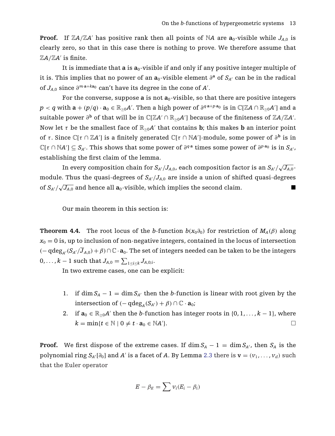<span id="page-12-0"></span>**Proof.** If  $\mathbb{Z}A/\mathbb{Z}A'$  has positive rank then all points of  $NA$  are  $a_0$ -visible while  $J_{A,0}$  is clearly zero, so that in this case there is nothing to prove. We therefore assume that Z*A*/Z*A* is finite.

It is immediate that  $\mathbf{a}$  is  $\mathbf{a}_0$ -visible if and only if any positive integer multiple of it is. This implies that no power of an **a**0-visible element ∂**<sup>a</sup>** of *SA* can be in the radical of  $J_{A,0}$  since  $\partial^{m\cdot a+k a_0}$  can't have its degree in the cone of  $A'$ .

For the converse, suppose  $\bf{a}$  is not  $\bf{a}_0$ -visible, so that there are positive integers  $p < q$  with  $\mathbf{a} + (p/q) \cdot \mathbf{a}_0 \in \mathbb{R}_{\geq 0} A'$ . Then a high power of  $\partial^{q \cdot \mathbf{a} + p \cdot \mathbf{a}_0}$  is in  $\mathbb{C}[\mathbb{Z} A \cap \mathbb{R}_{\geq 0} A']$  and a suitable power  $\partial^{\bf b}$  of that will be in C[ZA'∩ℝ<sub>≥0</sub>A'] because of the finiteness of ZA/ZA'. Now let  $\tau$  be the smallest face of  $\mathbb{R}_{\geq 0}$ A $'$  that contains  $\mathbf{b};$  this makes  $\mathbf{b}$  an interior point of τ. Since  $\mathbb{C}$ [τ ∩ ZA'] is a finitely generated  $\mathbb{C}$ [τ ∩ NA']-module, some power of  $\partial^{\bf b}$  is in  $\mathbb{C}[\tau \cap NA'] \subseteq S_{A'}$ . This shows that some power of  $\partial^{q \cdot a}$  times some power of  $\partial^{p \cdot a_0}$  is in  $S_{A'}$ , establishing the first claim of the lemma.

In every composition chain for  $S_{A'}/J_{A,0}$ , each composition factor is an  $S_{A'}/\sqrt{J_{A,0}}$ module. Thus the quasi-degrees of  $S_{A'}/J_{A,0}$  are inside a union of shifted quasi-degrees of  $S_{A'}/\sqrt{J_{A,0}}$  and hence all  $\mathbf{a}_0$ -visible, which implies the second claim.

Our main theorem in this section is:

**Theorem 4.4.** The root locus of the *b*-function  $b(x_0\partial_0)$  for restriction of  $M_A(\beta)$  along  $x_0 = 0$  is, up to inclusion of non-negative integers, contained in the locus of intersection  $(- \deg_{A'}(S_{A'}/\overline{J}_{A,0}) + \beta) \cap \mathbb{C} \cdot \mathbf{a}_0$ . The set of integers needed can be taken to be the integers  $0, \ldots, k-1$  such that  $J_{A,0} = \sum_{1 \leq i \leq k} J_{A,0;i}.$ 

In two extreme cases, one can be explicit:

- 1. if dim  $S_A 1 = \dim S_{A'}$  then the *b*-function is linear with root given by the intersection of  $(-q \deg_A(S_{A'}) + \beta) \cap \mathbb{C} \cdot \mathbf{a}_0;$
- 2. if  $\mathbf{a}_0 \in \mathbb{R}_{\geq 0}A'$  then the *b*-function has integer roots in  $\{0, 1, \ldots, k-1\}$ , where  $k = \min\{t \in \mathbb{N} \mid 0 \neq t \cdot \mathbf{a}_0 \in \mathbb{N}A^\prime\}$  $\mathbb{R}$ .

**Proof.** We first dispose of the extreme cases. If  $\dim S_A - 1 = \dim S_{A'}$ , then  $S_A$  is the polynomial ring  $S_{A'}[\partial_0]$  and  $A'$  is a facet of  $A$ . By Lemma [2.3](#page-5-0) there is  $\mathbf{v} = (v_1, \ldots, v_d)$  such that the Euler operator

$$
E - \beta_E = \sum v_i (E_i - \beta_i)
$$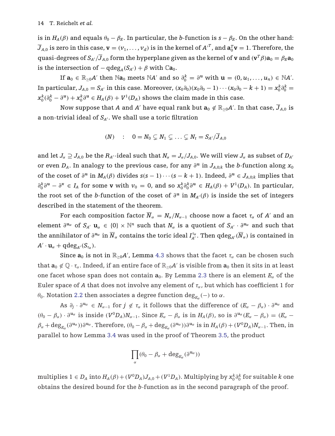is in  $H_A(\beta)$  and equals  $\theta_0 - \beta_E$ . In particular, the *b*-function is  $s - \beta_E$ . On the other hand:  $\overline{J}_{A,0}$  is zero in this case,  $\mathbf{v}=(v_1,\ldots,v_d)$  is in the kernel of  $A'^T$ , and  $\mathbf{a}_0^T\mathbf{v}=1.$  Therefore, the quasi-degrees of  $S_{A'}/\overline{J}_{A,0}$  form the hyperplane given as the kernel of **v** and  $(\mathbf{v}^T\beta)\mathbf{a}_0 = \beta_E \mathbf{a}_0$ is the intersection of  $-\text{qdeg}_A(S_{A'}) + \beta$  with  $\mathbb{C}\mathbf{a}_0$ .

If  $\mathbf{a}_0 \in \mathbb{R}_{\geq 0}$ A' then  $\mathbb{N}\mathbf{a}_0$  meets  $\mathbb{N}A'$  and so  $\partial_0^k = \partial^{\mathbf{u}}$  with  $\mathbf{u} = (0, u_1, \dots, u_n) \in \mathbb{N}A'$ . In particular,  $J_{A,0} = S_{A'}$  in this case. Moreover,  $(x_0\partial_0)(x_0\partial_0 - 1)\cdots(x_0\partial_0 - k + 1) = x_0^k\partial_0^k =$  $x_0^k$ ( $\partial_0^k - \partial^{\bf u}$ ) +  $x_0^k$  $\partial^{\bf u}$  ∈ *H<sub>A</sub>*( $\beta$ ) + *V*<sup>1</sup>( $D_A$ ) shows the claim made in this case.

Now suppose that  $A$  and  $A'$  have equal rank but  $\mathbf{a}_0\not\in\mathbb{R}_{\geq 0}A'.$  In that case,  $\overline{J}_{A,0}$  is a non-trivial ideal of *SA* . We shall use a toric filtration

$$
(N) \quad : \quad 0 = N_0 \subsetneq N_1 \subsetneq \ldots \subsetneq N_t = S_{A'}/\overline{J}_{A,0}
$$

and let  $J_\alpha \supseteq J_{A,0}$  be the  $R_{A'}$ -ideal such that  $N_\alpha = J_\alpha/J_{A,0}$ . We will view  $J_\alpha$  as subset of  $D_{A'}$ or even  $D_A$ . In analogy to the previous case, for any  $\partial^u$  in  $J_{A,0;k}$  the *b*-function along  $x_0$ of the coset of  $\partial^u$  in  $M_A(\beta)$  divides  $s(s-1)\cdots(s-k+1)$ . Indeed,  $\partial^u \in J_{A,0;k}$  implies that  $\partial_0^k \partial^u - \partial^v \in I_A$  for some **v** with  $v_0 = 0$ , and so  $x_0^k \partial_0^k \partial^u \in H_A(\beta) + V^1(D_A)$ . In particular, the root set of the *b*-function of the coset of  $\partial^u$  in  $M_{A'}(\beta)$  is inside the set of integers described in the statement of the theorem.

For each composition factor  $\overline{N}_{\alpha} \, = \, N_{\alpha}/N_{\alpha-1}$  choose now a facet  $\tau_{\alpha}$  of  $A'$  and an element  $\partial^{u_\alpha}$  of  $S_{A'}$  **u**<sub> $\alpha$ </sub> ∈ {0}  $\times$  N<sup>n</sup> such that  $N_\alpha$  is a quotient of  $S_{A'} \cdot \partial^{u_\alpha}$  and such that the annihilator of  $\partial^{\bf u_\alpha}$  in  $\overline N_\alpha$  contains the toric ideal  $I_{A'}^{\tau_\alpha}$ . Then  $\mathrm{qdeg}_{A'}(\overline N_\alpha)$  is contained in  $A' \cdot \mathbf{u}_{\alpha} + \mathrm{qdeg}_{A'}(S_{\tau_{\alpha}}).$ 

Since  $\mathbf{a}_0$  is not in  $\mathbb{R}_{\geq 0}A'$ , Lemma [4.3](#page-11-0) shows that the facet  $\tau_\alpha$  can be chosen such that  $a_0 \notin \mathbb{Q} \cdot \tau_\alpha$ . Indeed, if an entire face of  $\mathbb{R}_{\geq 0}A'$  is visible from  $a_0$  then it sits in at least one facet whose span does not contain  $a_0$ . By Lemma [2.3](#page-5-0) there is an element  $E_\alpha$  of the Euler space of *A* that does not involve any element of  $\tau_{\alpha}$ , but which has coefficient 1 for θ<sub>0</sub>. Notation [2.2](#page-4-0) then associates a degree function deg<sub>*Eα*</sub> (−) to  $\alpha$ .

As  $\partial_i \cdot \partial^{u_\alpha} \in N_{\alpha-1}$  for  $j \notin \tau_\alpha$  it follows that the difference of  $(E_\alpha - \beta_\alpha) \cdot \partial^{u_\alpha}$  and  $(\theta_0 - \beta_\alpha) \cdot \partial^{u_\alpha}$  is inside  $(V^0 D_A) N_{\alpha-1}$ . Since  $E_\alpha - \beta_\alpha$  is in  $H_A(\beta)$ , so is  $\partial^{u_\alpha} (E_\alpha - \beta_\alpha) = (E_\alpha - \beta_\alpha)$  $\beta_{\alpha} + \deg_{E_{\alpha}}(\partial^{\mathbf{u}_{\alpha}})\partial^{\mathbf{u}_{\alpha}}$ . Therefore,  $(\theta_{0} - \beta_{\alpha} + \deg_{E_{\alpha}}(\partial^{\mathbf{u}_{\alpha}}))\partial^{\mathbf{u}_{\alpha}}$  is in  $H_{A}(\beta) + (V^{0}D_{A})N_{\alpha-1}$ . Then, in parallel to how Lemma [3.4](#page-8-0) was used in the proof of Theorem [3.5,](#page-8-0) the product

$$
\prod_\alpha (\theta_0 - \beta_\alpha + deg_{E_\alpha}(\partial^{{\bf u}_\alpha}))
$$

 $\text{multiplies 1} \in D_A \text{ into } H_A(\beta) + (V^0 D_A) J_{A,0} + (V^1 D_A)$ . Multiplying by  $x_0^k \partial_0^k$  for suitable  $k$  one obtains the desired bound for the *b*-function as in the second paragraph of the proof.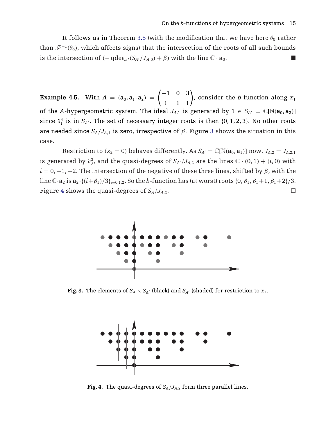It follows as in Theorem [3.5](#page-8-0) (with the modification that we have here  $\theta_0$  rather than  $\mathscr{F}^{-1}(\theta_0)$ , which affects signs) that the intersection of the roots of all such bounds is the intersection of  $(-q \deg_{A'}(S_{A'}/\overline{J}_{A,0}) + \beta)$  with the line  $\mathbb{C} \cdot \mathbf{a}_0$ .

**Example 4.5.** With  $A = (a_0, a_1, a_2)$  $\begin{pmatrix} -1 & 0 & 3 \\ 1 & 1 & 1 \end{pmatrix}$ , consider the *b*-function along *x*<sup>1</sup> of the *A*-hypergeometric system. The ideal  $J_{A,1}$  is generated by  $1 \in S_{A'} = \mathbb{C}[\mathbb{N}(a_0, a_2)]$ since  $\partial_1^4$  is in  $S_{A'}$ . The set of necessary integer roots is then  $\{0, 1, 2, 3\}$ . No other roots are needed since  $S_A/J_{A,1}$  is zero, irrespective of  $\beta$ . Figure 3 shows the situation in this case.

Restriction to ( $x_2 = 0$ ) behaves differently. As  $S_{A'} = \mathbb{C}[\mathbb{N}(a_0, a_1)]$  now,  $J_{A,2} = J_{A,2;1}$ is generated by  $\partial_0^3$ , and the quasi-degrees of  $S_{A'}/J_{A,2}$  are the lines  $\mathbb{C} \cdot (0,1) + (i,0)$  with  $i = 0, -1, -2$ . The intersection of the negative of these three lines, shifted by  $\beta$ , with the line  $\mathbb{C}\cdot\mathbf{a}_2$  is  $\mathbf{a}_2 \cdot \{(i+\beta_1)/3\}_{i=0,1,2}$ . So the *b*-function has (at worst) roots  $\{0, \beta_1, \beta_1+1, \beta_1+2\}/3$ . Figure 4 shows the quasi-degrees of  $S_A/J_{A,2}$ .  $\Box$ 



Fig. 3. The elements of  $S_A \smallsetminus S_{A'}$  (black) and  $S_{A'}$  (shaded) for restriction to  $x_1$ .



**Fig. 4.** The quasi-degrees of *SA*/*JA*,2 form three parallel lines.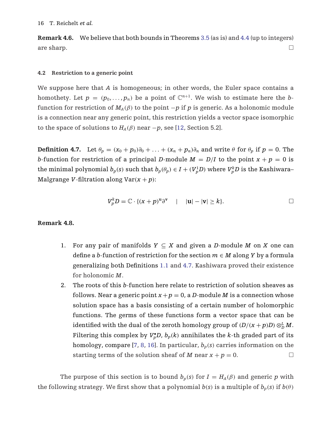**Remark 4.6.** We believe that both bounds in Theorems [3.5](#page-8-0) (as is) and [4.4](#page-12-0) (up to integers) are sharp.  $\Box$ 

### **4.2 Restriction to a generic point**

We suppose here that *A* is homogeneous; in other words, the Euler space contains a homothety. Let  $p = (p_0, \ldots, p_n)$  be a point of  $\mathbb{C}^{n+1}$ . We wish to estimate here the *b*function for restriction of  $M_A(\beta)$  to the point  $-p$  if p is generic. As a holonomic module is a connection near any generic point, this restriction yields a vector space isomorphic to the space of solutions to  $H_A(\beta)$  near  $-p$ , see [\[12](#page-19-0), Section 5.2].

**Definition 4.7.** Let  $\theta_p = (x_0 + p_0)\partial_0 + \ldots + (x_n + p_n)\partial_n$  and write  $\theta$  for  $\theta_p$  if  $p = 0$ . The *b*-function for restriction of a principal *D*-module  $M = D/I$  to the point  $x + p = 0$  is the minimal polynomial  $b_p(s)$  such that  $b_p(\theta_p) \in I + (V^1_pD)$  where  $V^k_pD$  is the Kashiwara– Malgrange *V*-filtration along  $Var(x + p)$ :

$$
V_p^k D = \mathbb{C} \cdot \{(x+p)^{\mathbf{u}}\partial^{\mathbf{v}} \quad | \quad |\mathbf{u}| - |\mathbf{v}| \ge k\}.
$$

## **Remark 4.8.**

- 1. For any pair of manifolds  $Y \subseteq X$  and given a *D*-module *M* on *X* one can define a *b*-function of restriction for the section  $m \in M$  along *Y* by a formula generalizing both Definitions [1.1](#page-0-0) and 4.7. Kashiwara proved their existence for holonomic *M*.
- 2. The roots of this *b*-function here relate to restriction of solution sheaves as follows. Near a generic point  $x + p = 0$ , a *D*-module *M* is a connection whose solution space has a basis consisting of a certain number of holomorphic functions. The germs of these functions form a vector space that can be identified with the dual of the zeroth homology group of  $(D/(x+p)D) \otimes_D^L M$ . Filtering this complex by  $V_p^{\bullet}D$ ,  $b_p(k)$  annihilates the *k*-th graded part of its homology, compare [\[7](#page-19-0), [8](#page-19-0), [16](#page-20-0)]. In particular,  $b_p(s)$  carries information on the starting terms of the solution sheaf of *M* near  $x + p = 0$ .  $\Box$

The purpose of this section is to bound  $b_p(s)$  for  $I = H_A(\beta)$  and generic p with the following strategy. We first show that a polynomial  $b(s)$  is a multiple of  $b_p(s)$  if  $b(\theta)$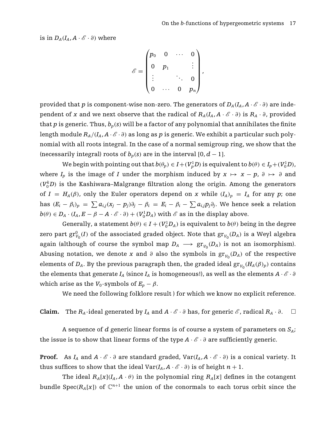is in  $D_A(I_A, A \cdot \mathscr{E} \cdot \partial)$  where

$$
\mathscr{E} = \begin{pmatrix} p_0 & 0 & \cdots & 0 \\ 0 & p_1 & & \vdots \\ \vdots & & \ddots & 0 \\ 0 & \cdots & 0 & p_n \end{pmatrix},
$$

provided that *p* is component-wise non-zero. The generators of  $D_A(I_A, A \cdot \mathscr{E} \cdot \partial)$  are independent of *x* and we next observe that the radical of  $R_A(I_A, A \cdot \mathscr{E} \cdot \partial)$  is  $R_A \cdot \partial$ , provided that  $p$  is generic. Thus,  $b_p(s)$  will be a factor of any polynomial that annihilates the finite length module  $R_A/(I_A, A \cdot \mathscr{E} \cdot \partial)$  as long as p is generic. We exhibit a particular such polynomial with all roots integral. In the case of a normal semigroup ring, we show that the (necessarily integral) roots of  $b_p(s)$  are in the interval  $[0, d-1]$ .

We begin with pointing out that  $b(\theta_p) \in I + (V_p^1 D)$  is equivalent to  $b(\theta) \in I_p + (V_0^1 D)$ , where  $I_p$  is the image of *I* under the morphism induced by  $x \mapsto x - p$ ,  $\partial \mapsto \partial$  and  $(V_0^k D)$  is the Kashiwara–Malgrange filtration along the origin. Among the generators of  $I = H_A(\beta)$ , only the Euler operators depend on x while  $(I_A)_p = I_A$  for any p; one has  $(E_i - \beta_i)_p = \sum a_{ij}(x_j - p_j)\partial_j - \beta_i = E_i - \beta_i - \sum a_{ij}p_j\partial_j$ . We hence seek a relation  $b(\theta) \in D_A \cdot (I_A, E - \beta - A \cdot \mathscr{E} \cdot \partial) + (V_0^1 D_A)$  with  $\mathscr{E}$  as in the display above.

Generally, a statement  $b(\theta) \in I + (V_0^1 D_A)$  is equivalent to  $b(\theta)$  being in the degree zero part  $\mathrm{gr}^0_{V_0}(I)$  of the associated graded object. Note that  $\mathrm{gr}_{V_0}(D_A)$  is a Weyl algebra again (although of course the symbol map  $D_A \longrightarrow \text{gr}_{V_0}(D_A)$  is not an isomorphism). Abusing notation, we denote *x* and  $\partial$  also the symbols in  $gr_{V_0}(D_A)$  of the respective elements of  $D_A$ . By the previous paragraph then, the graded ideal  $gr_{V_0}(H_A(\beta)_p)$  contains the elements that generate  $I_A$  (since  $I_A$  is homogeneous!), as well as the elements  $A \cdot \mathscr{E} \cdot \partial$ which arise as the *V*<sub>0</sub>-symbols of  $E_p - \beta$ .

We need the following folklore result ) for which we know no explicit reference.

**Claim.** The  $R_A$ -ideal generated by  $I_A$  and  $A \cdot \mathscr{E} \cdot \partial$  has, for generic  $\mathscr{E}$ , radical  $R_A \cdot \partial$ .  $\Box$ 

A sequence of *d* generic linear forms is of course a system of parameters on  $S_A$ ; the issue is to show that linear forms of the type  $A \cdot \mathscr{E} \cdot \partial$  are sufficiently generic.

**Proof.** As  $I_A$  and  $A \cdot \mathcal{E} \cdot \partial$  are standard graded, Var $(I_A, A \cdot \mathcal{E} \cdot \partial)$  is a conical variety. It thus suffices to show that the ideal  $Var(I_A, A \cdot \mathscr{E} \cdot \partial)$  is of height  $n + 1$ .

The ideal  $R_A[x](I_A, A \cdot \theta)$  in the polynomial ring  $R_A[x]$  defines in the cotangent bundle Spec( $R_A[x]$ ) of  $\mathbb{C}^{n+1}$  the union of the conormals to each torus orbit since the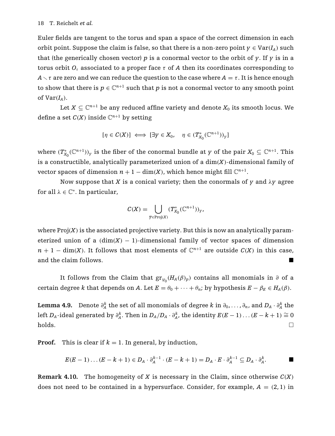Euler fields are tangent to the torus and span a space of the correct dimension in each orbit point. Suppose the claim is false, so that there is a non-zero point  $y \in \text{Var}(I_A)$  such that (the generically chosen vector) *p* is a conormal vector to the orbit of *y*. If *y* is in a torus orbit  $O_t$  associated to a proper face  $\tau$  of A then its coordinates corresponding to *A*  $\tau$  are zero and we can reduce the question to the case where *A* = *τ*. It is hence enough to show that there is  $p \in \mathbb{C}^{n+1}$  such that p is not a conormal vector to any smooth point of  $Var(I_A)$ .

Let  $X \subseteq \mathbb{C}^{n+1}$  be any reduced affine variety and denote  $X_0$  its smooth locus. We define a set  $C(X)$  inside  $\mathbb{C}^{n+1}$  by setting

$$
[\eta \in C(X)] \iff [\exists y \in X_0, \quad \eta \in (T^*_{X_0}(\mathbb{C}^{n+1}))_y]
$$

where  $(T^*_{X_0}(\mathbb{C}^{n+1}))_y$  is the fiber of the conormal bundle at *y* of the pair  $X_0\subseteq\mathbb{C}^{n+1}$ . This is a constructible, analytically parameterized union of a dim(*X*)-dimensional family of vector spaces of dimension  $n + 1 - \dim(X)$ , which hence might fill  $\mathbb{C}^{n+1}$ .

Now suppose that *X* is a conical variety; then the conormals of *y* and  $\lambda y$  agree for all  $\lambda \in \mathbb{C}^*$ . In particular,

$$
C(X) = \bigcup_{\overline{y} \in \text{Proj}(X)} (T_{X_0}^*(\mathbb{C}^{n+1}))_y,
$$

where  $Proj(X)$  is the associated projective variety. But this is now an analytically parameterized union of a  $(\dim(X) - 1)$ -dimensional family of vector spaces of dimension  $n + 1 - \dim(X)$ . It follows that most elements of  $\mathbb{C}^{n+1}$  are outside  $C(X)$  in this case, and the claim follows.

It follows from the Claim that  $gr_{V_0}(H_A(\beta)_p)$  contains all monomials in  $\partial$  of a certain degree *k* that depends on *A*. Let  $E = \theta_0 + \cdots + \theta_n$ ; by hypothesis  $E - \beta_E \in H_A(\beta)$ .

**Lemma 4.9.** Denote  $\partial_A^k$  the set of all monomials of degree *k* in  $\partial_0, \ldots, \partial_n$ , and  $D_A \cdot \partial_A^k$  the left  $D_A$ -ideal generated by  $\partial_A^k$ . Then in  $D_A/D_A\cdot \partial_A^k$ , the identity  $E(E-1)\dots(E-k+1)\cong 0$  $\Box$ 

**Proof.** This is clear if  $k = 1$ . In general, by induction,

$$
E(E-1)\dots(E-k+1) \in D_A \cdot \partial_A^{k-1} \cdot (E-k+1) = D_A \cdot E \cdot \partial_A^{k-1} \subseteq D_A \cdot \partial_A^k.
$$

**Remark 4.10.** The homogeneity of *X* is necessary in the Claim, since otherwise  $C(X)$ does not need to be contained in a hypersurface. Consider, for example,  $A = (2, 1)$  in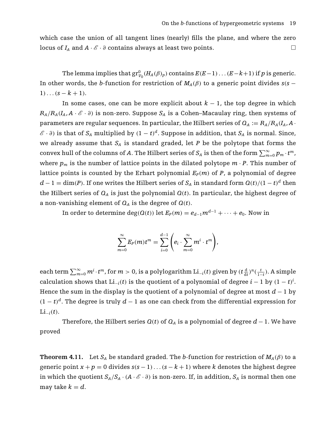which case the union of all tangent lines (nearly) fills the plane, and where the zero locus of  $I_A$  and  $A \cdot \mathscr{E} \cdot \partial$  contains always at least two points.  $\Box$ 

The lemma implies that  $\mathrm{gr}^0_{V_0}(H_A(\beta)_p)$  contains  $E(E-1)\ldots(E-k+1)$  if  $p$  is generic. In other words, the *b*-function for restriction of  $M_A(\beta)$  to a generic point divides  $s(s -$ 1)... $(s - k + 1)$ .

In some cases, one can be more explicit about  $k - 1$ , the top degree in which  $R_A/R_A(I_A, A \cdot \mathscr{E} \cdot \partial)$  is non-zero. Suppose  $S_A$  is a Cohen–Macaulay ring, then systems of parameters are regular sequences. In particular, the Hilbert series of  $Q_A := R_A/R_A(I_A, A$  $\mathscr{E} \cdot \partial$ ) is that of  $S_A$  multiplied by  $(1-t)^d$ . Suppose in addition, that  $S_A$  is normal. Since, we already assume that  $S_A$  is standard graded, let  $P$  be the polytope that forms the convex hull of the columns of *A*. The Hilbert series of  $S_A$  is then of the form  $\sum_{m=0}^{\infty} p_m \cdot t^m$ , where  $p_m$  is the number of lattice points in the dilated polytope  $m \cdot P$ . This number of lattice points is counted by the Erhart polynomial  $E_P(m)$  of P, a polynomial of degree  $d-1 = \dim(P)$ . If one writes the Hilbert series of  $S_A$  in standard form  $Q(t)/(1-t)^d$  then the Hilbert series of  $Q_A$  is just the polynomial  $Q(t)$ . In particular, the highest degree of a non-vanishing element of  $Q_A$  is the degree of  $Q(t)$ .

In order to determine deg( $Q(t)$ ) let  $E_P(m) = e_{d-1}m^{d-1} + \cdots + e_0$ . Now in

$$
\sum_{m=0}^{\infty} E_P(m)t^m = \sum_{i=0}^{d-1} \left(e_i \cdot \sum_{m=0}^{\infty} m^i \cdot t^m\right),
$$

 $\text{each term } \sum_{m=0}^{\infty} m^i \cdot t^m$ , for  $m > 0$ , is a polylogarithm  $\text{Li}_{-i}(t)$  given by  $(t\frac{\text{d}}{\text{d}t})^n(\frac{t}{1-t}).$  A simple calculation shows that Li<sub>−i</sub>(*t*) is the quotient of a polynomial of degree *i* – 1 by  $(1-t)^i$ . Hence the sum in the display is the quotient of a polynomial of degree at most *d* − 1 by  $(1-t)^d$ . The degree is truly  $d-1$  as one can check from the differential expression for Li<sub> $-i$ </sub> $(t)$ .

Therefore, the Hilbert series  $Q(t)$  of  $Q<sub>A</sub>$  is a polynomial of degree  $d-1$ . We have proved

**Theorem 4.11.** Let  $S_A$  be standard graded. The *b*-function for restriction of  $M_A(\beta)$  to a generic point  $x + p = 0$  divides  $s(s - 1) \ldots (s - k + 1)$  where *k* denotes the highest degree in which the quotient  $S_A/S_A \cdot (A \cdot \mathscr{E} \cdot \partial)$  is non-zero. If, in addition,  $S_A$  is normal then one may take  $k = d$ .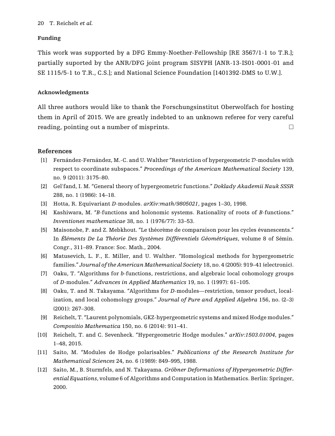### <span id="page-19-0"></span>20 T. Reichelt *et al.*

## **Funding**

This work was supported by a DFG Emmy-Noether-Fellowship [RE 3567/1-1 to T.R.]; partially suported by the ANR/DFG joint program SISYPH [ANR-13-IS01-0001-01 and SE 1115/5-1 to T.R., C.S.]; and National Science Foundation [1401392-DMS to U.W.].

# **Acknowledgments**

All three authors would like to thank the Forschungsinstitut Oberwolfach for hosting them in April of 2015. We are greatly indebted to an unknown referee for very careful reading, pointing out a number of misprints.  $\Box$ 

# **References**

- [1] Fernández-Fernández, M.-C. and U. Walther "Restriction of hypergeometric D-modules with respect to coordinate subspaces." *Proceedings of the American Mathematical Society* 139, no. 9 (2011): 3175–80.
- [2] Gel fand, I. M. "General theory of hypergeometric functions." *Doklady Akademii Nauk SSSR* 288, no. 1 (1986): 14–18.
- [3] Hotta, R. Equivariant *D*-modules. *arXiv:math/9805021*, pages 1–30, 1998.
- [4] Kashiwara, M. "*B*-functions and holonomic systems. Rationality of roots of *B*-functions." *Inventiones mathematicae* 38, no. 1 (1976/77): 33–53.
- [5] Maisonobe, P. and Z. Mebkhout. "Le théorème de comparaison pour les cycles évanescents." In *Éléments De La Théorie Des Systèmes Différentiels Géométriques*, volume 8 of Sémin. Congr., 311–89. France: Soc. Math., 2004.
- [6] Matusevich, L. F., E. Miller, and U. Walther. "Homological methods for hypergeometric families." *Journal of the American Mathematical Society* 18, no. 4 (2005): 919–41 (electronic).
- [7] Oaku, T. "Algorithms for *b*-functions, restrictions, and algebraic local cohomology groups of *D*-modules." *Advances in Applied Mathematics* 19, no. 1 (1997): 61–105.
- [8] Oaku, T. and N. Takayama. "Algorithms for *D*-modules—restriction, tensor product, localization, and local cohomology groups." *Journal of Pure and Applied Algebra* 156, no. (2–3) (2001): 267–308.
- [9] Reichelt, T. "Laurent polynomials, GKZ-hypergeometric systems and mixed Hodge modules." *Compositio Mathematica* 150, no. 6 (2014): 911–41.
- [10] Reichelt, T. and C. Sevenheck. "Hypergeometric Hodge modules." *arXiv:1503.01004*, pages 1–48, 2015.
- [11] Saito, M. "Modules de Hodge polarisables." *Publications of the Research Institute for Mathematical Sciences* 24, no. 6 (1989): 849–995, 1988.
- [12] Saito, M., B. Sturmfels, and N. Takayama. *Gröbner Deformations of Hypergeometric Differential Equations*, volume 6 of Algorithms and Computation in Mathematics. Berlin: Springer, 2000.